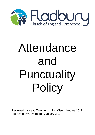

# Attendance and Punctuality Policy

Reviewed by Head Teacher: Julie Wilson January 2018 Approved by Governors: January 2018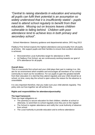*"Central to raising standards in education and ensuring all pupils can fulfil their potential is an assumption so widely understood that it is insufficiently stated – pupils need to attend school regularly to benefit from their education. Missing out on lessons leaves children vulnerable to falling behind. Children with poor attendance tend to achieve less in both primary and secondary school".*

School Attendance: Statutory guidance and departmental advice, DFE Aug 2013

Fladbury First School expects the highest attendance and punctuality from all pupils, at all times. We support pupils and their families to ensure that excellent attendance is achieved.

- Worcestershire Local Authorities target for attendance is 96%
- At Fladbury First School, we are continuously working towards our goal of 97% attendance for all pupils.

## **Overall Aims:**

This is a successful first school and your child plays their part in making it so. We aim for an environment which enables and encourages all members of our school community to reach out for excellence. For our pupils to gain the greatest benefit from their education it is vital that they attend regularly and your child should be at school, on time, every day the school is open unless the reason for the absence is unavoidable.

It is very important therefore, that you make sure your child attends regularly. This policy sets out how together we will achieve this.

## **Rights and responsibilities for attendance/punctuality:**

## **The legal framework:**

There are legal obligations on:

- The parent(s) to secure education for their children, whether at school or otherwise, to send them to school regularly once they are on the register
- The School to register attendance and notify the Local Authority of absence from school
- The Local Authority to provide education and to enforce attendance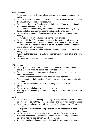# **Head Teacher:**

- To be responsible for the overall management and implementation of the policy.
- To deal with parental requests for extended leave in line with Worcestershire Local Authority policies and procedures.
- To consider the use of Penalty Notices, in line with Worcestershire Local Authority policies and procedures.
- To lead on/take responsibility for attendance/punctuality, on a day-to-day basis, including liaising with/responding to parental enquires.
- To oversee the analysis of/analyse weekly/termly/yearly data and respond to findings.
- To monitor weekly attendance data for their year groups.
- To meet with the Office Manager to monitor the systems and structures, ensuring they are having an impact on pupil attendance and punctuality.
- To liaise with external agencies such as the Education Welfare Officer and make referrals where necessary.
- To ensure that rewards and incentives for attendance and punctuality are being used.
- Work with the teachers, to plan for the reintegration of pupils after long-term absence.
- To revise and amend the policy, as required.

# **Office Manager:**

- To carry out and record the outcome of first day calls, when a child doesn't arrive at school when no reason has been received.
- To check the school answer phone and take messages from parents/carers about pupil absence.
- To record reasons for absence and updating class registers.
- To implement the daily registers after the morning and afternoon registration sessions.
- To contact parents/carers by letter, following 3 instances of lateness or absence.
- To oversee the admission and induction of new pupils.
- Inform parents of school procedures, when parents have failed to inform the school.

# **Staff:**

- To ensure quality first teaching every day; with lessons that are well planned and resourced so that they challenge, inspire and meet their learners' needs.
- Take a formal register of all pupils twice a day. This is done at 9.00 am and 1.00 pm.
- To regularly remind children and parents about the importance of good attendance.
- To follow up on pupil absence by ensuring reasons for absence are sought.
- Provide a welcoming and safe environment, which encourages attendance and promotes the best performance from children.
- Establish good and effective communication links with parents/carers and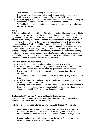work collaboratively in meeting the child's needs.

- If required, to work collaboratively with other agencies to assist them in fulfilling their statutory duties, regarding for example, child protection
- Work with pupils and their families where attendance is a concern, identifying barriers to good attendance and working to overcome these.
- To feed back to parents about pupil attendance and punctuality regularly and at Parents Evenings.

## **Parents:**

Children should only be kept at home if they have a serious illness or injury. If this is the case, parents should contact the school first thing. If a child has a minor illness e.g. mild headache, stomach aches etc. parents should inform the school and bring them in. If they don't get any better, school will contact parents straight away, to collect them. If pupils' have a dental, clinic or hospital appointment, parents should let the school know. Pupils' should be brought child back to school after appointments. Pupils should miss as little time as possible as any absence affects the pattern of a child's schooling and regular absence will seriously affect their learning. Any pupil's absence disrupts teaching routines so may affect the learning of others in the same class.Ensuring your child's regular attendance at school is your legal responsibility and permitting absence from school without a good reason creates an offence in law and may result in prosecution.

Therefore, parents are expected to:

- Ensure their child attends school and arrives on time every day.
- Promote a good attitude to learning by ensuring their children attend school in the correct uniform and with the basic equipment required for lessons.
- Not arrange medical and dental appointments in school time wherever possible.
- Telephone to inform the school on the first day **and every day** of absence for their child.
- Provide a written explanation of absence, including dates of absence as soon as their child returns to school.
- Work in partnership with the school and other agencies in the best interests of their child; this includes informing the school about significant influences and changes in the child's life, which may impact on learning.

## **Strategies for Promoting/ Rewarding Excellent Attendance:**

Helping to create a pattern of regular attendance is everybody's responsibility parents, pupils and all members of school staff.

To help us all ensure good attendance and punctuality (above 97%) we will:

- Give you details on attendance in our regular newsletter The Fladbury Fanfare. This regularly includes sections reminding parents of our school attendance target and what that means in terms of number of days absent.
- Run promotional events when parents, pupils and staff can work together on raising attendance levels across the school.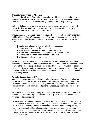### **Understanding Types of Absence**

Every half-day absence from school has to be classified by the school (not by parents), as either **AUTHORISED** or **UNAUTHORISED**. This is why information about the cause of any absence is always required, preferably in writing.

Authorised absences are mornings or afternoons away from school for a good reason like illness, medical/dental appointments which unavoidably fall in school time, emergencies or other unavoidable causes.

Unauthorised absences are those which the school does not consider reasonable and for which no "leave" has been given. This type of absence can lead to the Authority using sanctions and/or legal proceedings. Unauthorised absences include:

- Parents/carers keeping children off school unnecessarily
- Truancy before or during the school day
- Absences which have never been properly explained
- Children who arrive at school too late to get a "present" mark
- Shopping, looking after other children or birthdays
- Day trips and holidays in term time

Whilst any child may be off school because they are ill, sometimes they can be reluctant to attend school. Any problems with regular attendance are best sorted out between the school, the parents and the child. If your child is reluctant to attend, it is never better to cover up their absence or to give in to pressure to excuse them from attending. This gives the impression that attendance does not matter and usually makes things worse.

#### **Persistent Absenteeism (PA):**

A pupil becomes a 'persistent absentee' when they miss 10% or more schooling across the school year for whatever reason (including sickness and unauthorized absences). Absence at this level is doing considerable damage to any child's educational prospects and we need parents' fullest support and co-operation to tackle this.

We monitor all absence thoroughly. Any case that is seen to have reached the PA mark or is at risk of moving towards that mark is given priority and you will be informed of this immediately.

PA pupils are tracked and monitored carefully through our pastoral system and we also combine this with academic mentoring where absence affects attainment. All our PA pupils and their parents are subject to an Action Plan and the plan may include: allocation of additional support through a Mentor, use of circle time, individual incentive programmes and participation in group activities around raising attendance. All PA cases are also automatically made known to the Education Investigation Service.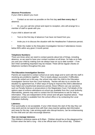## **Absence Procedures:**

If your child is absent you must:

• Contact us as soon as possible on the first day **and then every day** of absence;

• Or, you can call into school and report to reception, who will arrange for a member of staff to speak with you.

If your child is absent we will:

- Text on the first day of absence if we have not heard from you;
- Invite you in to discuss the situation with the Headteacher if absences persist;

• Refer the matter to the Education Investigation Service if attendance moves below 90% within any given 3 month period.

#### **Telephone Numbers:**

There are times when we need to contact parents about lots of things, including absence, so we need to have your contact numbers at all times. So help us to help you and your child by making sure we always have an up to date number – if we don't then something important may be missed. There will be regular checks on telephone numbers throughout the year.

#### **The Education Investigation Service:**

Parents are expected to contact school at an early stage and to work with the staff in resolving any problems together. This is nearly always successful. If difficulties cannot be sorted out in this way, the school may refer the child to the Education Investigation Service from the Local Authority. He/she will also try to resolve the situation by agreement but, if other ways of trying to improve the child's attendance have failed and unauthorised absences persist, these Officers can use sanctions such as Penalty Notices or prosecutions in the Magistrates Court. Full details of the options open to enforce attendance at school are available from the Local Authority. Alternatively, parents may wish to contact the EIS themselves to ask for help or information. They are independent of the school and will give impartial advice. Their telephone number is available from the school office or by contacting the Local Education Authority.

#### **Lateness:**

Poor punctuality is not acceptable. If your child misses the start of the day they can miss work and do not spend time with their class teacher getting vital information and news for the day. Late arriving pupils also disrupt lessons, can be embarrassing for the child and can also encourage absence.

#### **How we manage lateness:**

The children's entrance opens at 8.45am. Children should be on the playground by 8.55am when the bell is rung – this is the official start of the school day. Children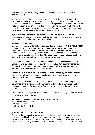then come into school promptly and should be in the classroom ready for the register by 9 o'clock.

Registers are marked and closed by 9.10am. Up until that time children arriving between 9am and 9.10am are marked as late (L). Children arriving after 9.10am are classed as very late and in accordance with the Regulations they will receive a mark that shows them to be on site, but this will not count as a present mark and it will mean they have an unauthorised absence (U). This may mean that you could face the possibility of a Penalty Notice if the problem persists.

If your child has a persistent late record you will be asked to meet with the Headteacher to resolve the problem, but you can approach us at any time if you are having problems getting your child to school on time.

#### **Holidays in Term Time:**

New guidance and law Oct 2013 states very clearly that there is **NO ENTITLEMENT TO PARENTS TO TAKE THEIR CHILD ON HOLIDAY DURING TERM TIME.**  There has to be exceptional circumstances and that the Head Teacher should determine the number of days a child can be away from school if the leave for exceptional circumstances is granted. **The ability to access a reduced cost of a holiday does not constitute an exceptional circumstance.**

At Fladbury First School we have determined absence in the Reception year will be authorised until the child reaches the term in which they turn statutory school age (5). Any further holiday requested during term time will be **unauthorised**, unless the reasoning falls with exceptional circumstances

The minimum level of overall attendance set for this school by the local authority is 96% and we will keep you updated regularly about progress towards this level and how your child's attendance compares.

Our target is to achieve better than this however because we know that good attendance is the key to successful schooling and we believe our pupils can be amongst the best in Worcestershire. Our school target is to achieve 97% overall attendance this year.

Throughout the school year we monitor absences and punctuality to show us where improvements need to be made.

#### **People who Deal with Attendance in our School are:**

Miss Wilson, Headteacher All Class Teachers Mrs Edwards, School Office

#### **REPLY SLIP – ATTENDANCE POLICY**

We would like to make this school as successful as possible and your child plays their part in making it so. We all aim for an environment which enables and encourages all members of our school community to reach out for excellence. For our pupils to gain the greatest benefit from their education it is vital that they attend